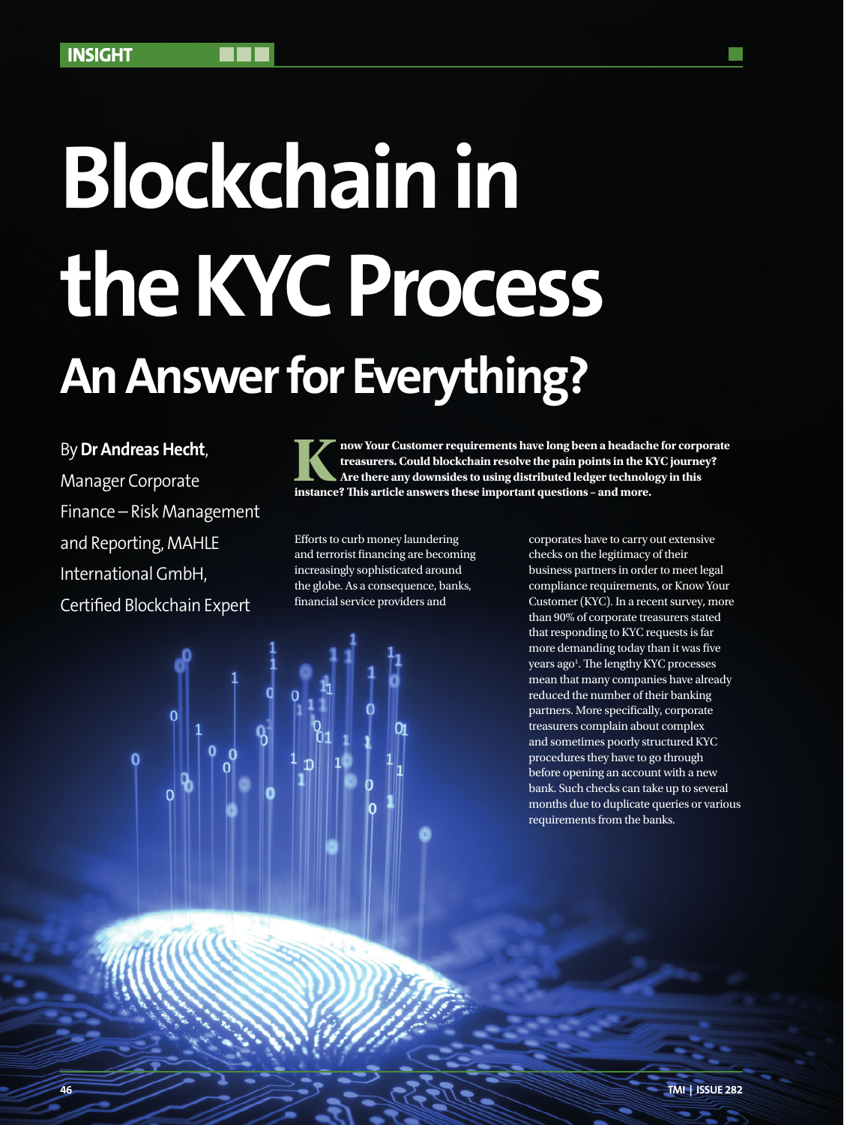# **An Answer for Everything? Blockchain in the KYC Process**

By **Dr Andreas Hecht**,

Manager Corporate Finance – Risk Management and Reporting, MAHLE International GmbH, Certified Blockchain Expert

**Know Your Customer requirements have long been a headache for corporate treasurers. Could blockchain resolve the pain points in the KYC journey? Are there any downsides to using distributed ledger technology in this instance? This article answers these important questions – and more.**

Efforts to curb money laundering and terrorist financing are becoming increasingly sophisticated around the globe. As a consequence, banks, financial service providers and

corporates have to carry out extensive checks on the legitimacy of their business partners in order to meet legal compliance requirements, or Know Your Customer (KYC). In a recent survey, more than 90% of corporate treasurers stated that responding to KYC requests is far more demanding today than it was five years ago<sup>1</sup>. The lengthy KYC processes mean that many companies have already reduced the number of their banking partners. More specifically, corporate treasurers complain about complex and sometimes poorly structured KYC procedures they have to go through before opening an account with a new bank. Such checks can take up to several months due to duplicate queries or various requirements from the banks.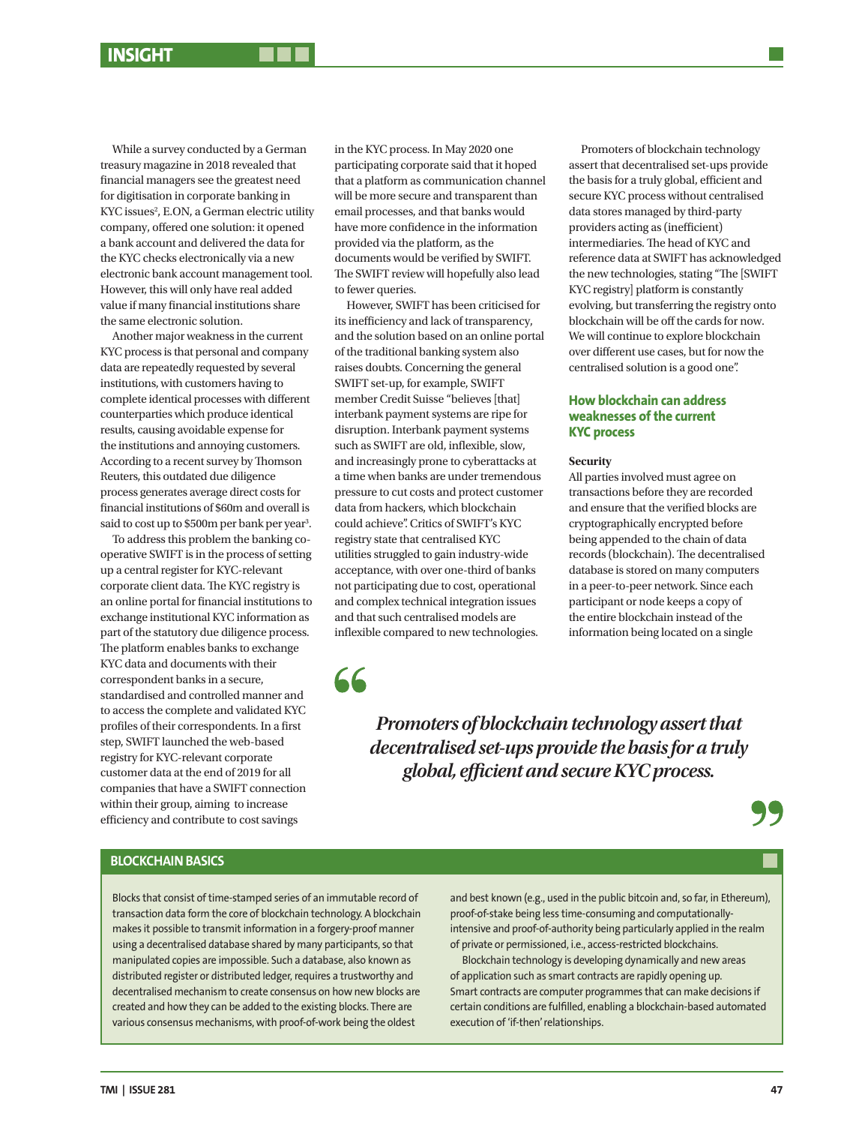While a survey conducted by a German treasury magazine in 2018 revealed that financial managers see the greatest need for digitisation in corporate banking in KYC issues<sup>2</sup>, E.ON, a German electric utility company, offered one solution: it opened a bank account and delivered the data for the KYC checks electronically via a new electronic bank account management tool. However, this will only have real added value if many financial institutions share the same electronic solution.

Another major weakness in the current KYC process is that personal and company data are repeatedly requested by several institutions, with customers having to complete identical processes with different counterparties which produce identical results, causing avoidable expense for the institutions and annoying customers. According to a recent survey by Thomson Reuters, this outdated due diligence process generates average direct costs for financial institutions of \$60m and overall is said to cost up to \$500m per bank per year<sup>3</sup>.

To address this problem the banking cooperative SWIFT is in the process of setting up a central register for KYC-relevant corporate client data. The KYC registry is an online portal for financial institutions to exchange institutional KYC information as part of the statutory due diligence process. The platform enables banks to exchange KYC data and documents with their correspondent banks in a secure, standardised and controlled manner and to access the complete and validated KYC profiles of their correspondents. In a first step, SWIFT launched the web-based registry for KYC-relevant corporate customer data at the end of 2019 for all companies that have a SWIFT connection within their group, aiming to increase efficiency and contribute to cost savings

in the KYC process. In May 2020 one participating corporate said that it hoped that a platform as communication channel will be more secure and transparent than email processes, and that banks would have more confidence in the information provided via the platform, as the documents would be verified by SWIFT. The SWIFT review will hopefully also lead to fewer queries.

However, SWIFT has been criticised for its inefficiency and lack of transparency, and the solution based on an online portal of the traditional banking system also raises doubts. Concerning the general SWIFT set-up, for example, SWIFT member Credit Suisse "believes [that] interbank payment systems are ripe for disruption. Interbank payment systems such as SWIFT are old, inflexible, slow, and increasingly prone to cyberattacks at a time when banks are under tremendous pressure to cut costs and protect customer data from hackers, which blockchain could achieve". Critics of SWIFT's KYC registry state that centralised KYC utilities struggled to gain industry-wide acceptance, with over one-third of banks not participating due to cost, operational and complex technical integration issues and that such centralised models are inflexible compared to new technologies.

66

Promoters of blockchain technology assert that decentralised set-ups provide the basis for a truly global, efficient and secure KYC process without centralised data stores managed by third-party providers acting as (inefficient) intermediaries. The head of KYC and reference data at SWIFT has acknowledged the new technologies, stating "The [SWIFT KYC registry] platform is constantly evolving, but transferring the registry onto blockchain will be off the cards for now. We will continue to explore blockchain over different use cases, but for now the centralised solution is a good one".

# **How blockchain can address weaknesses of the current KYC process**

### **Security**

All parties involved must agree on transactions before they are recorded and ensure that the verified blocks are cryptographically encrypted before being appended to the chain of data records (blockchain). The decentralised database is stored on many computers in a peer-to-peer network. Since each participant or node keeps a copy of the entire blockchain instead of the information being located on a single

*Promoters of blockchain technology assert that decentralised set-ups provide the basis for a truly global, efficient and secure KYC process.*

# **BLOCKCHAIN BASICS**

Blocks that consist of time-stamped series of an immutable record of transaction data form the core of blockchain technology. A blockchain makes it possible to transmit information in a forgery-proof manner using a decentralised database shared by many participants, so that manipulated copies are impossible. Such a database, also known as distributed register or distributed ledger, requires a trustworthy and decentralised mechanism to create consensus on how new blocks are created and how they can be added to the existing blocks. There are various consensus mechanisms, with proof-of-work being the oldest

and best known (e.g., used in the public bitcoin and, so far, in Ethereum), proof-of-stake being less time-consuming and computationallyintensive and proof-of-authority being particularly applied in the realm of private or permissioned, i.e., access-restricted blockchains.

Blockchain technology is developing dynamically and new areas of application such as smart contracts are rapidly opening up. Smart contracts are computer programmes that can make decisions if certain conditions are fulfilled, enabling a blockchain-based automated execution of 'if-then' relationships.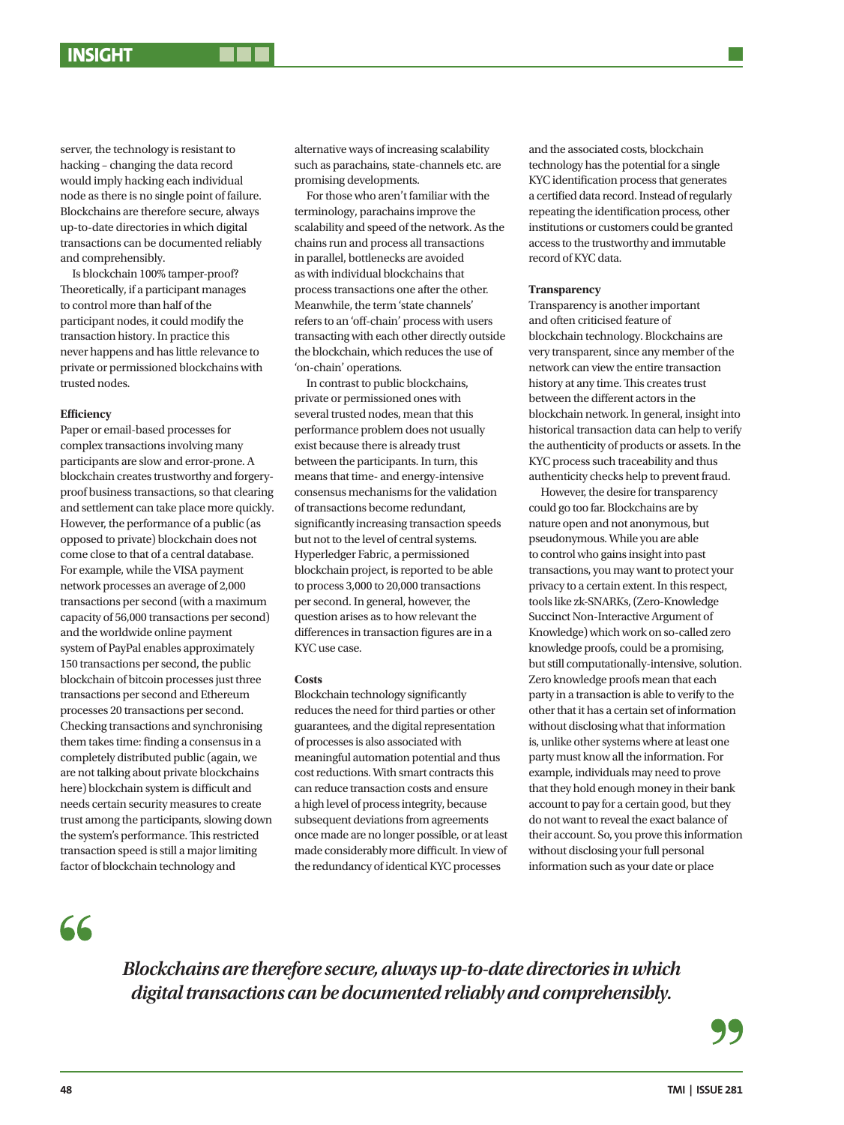server, the technology is resistant to hacking – changing the data record would imply hacking each individual node as there is no single point of failure. Blockchains are therefore secure, always up-to-date directories in which digital transactions can be documented reliably and comprehensibly.

Is blockchain 100% tamper-proof? Theoretically, if a participant manages to control more than half of the participant nodes, it could modify the transaction history. In practice this never happens and has little relevance to private or permissioned blockchains with trusted nodes.

### **Efficiency**

Paper or email-based processes for complex transactions involving many participants are slow and error-prone. A blockchain creates trustworthy and forgeryproof business transactions, so that clearing and settlement can take place more quickly. However, the performance of a public (as opposed to private) blockchain does not come close to that of a central database. For example, while the VISA payment network processes an average of 2,000 transactions per second (with a maximum capacity of 56,000 transactions per second) and the worldwide online payment system of PayPal enables approximately 150 transactions per second, the public blockchain of bitcoin processes just three transactions per second and Ethereum processes 20 transactions per second. Checking transactions and synchronising them takes time: finding a consensus in a completely distributed public (again, we are not talking about private blockchains here) blockchain system is difficult and needs certain security measures to create trust among the participants, slowing down the system's performance. This restricted transaction speed is still a major limiting factor of blockchain technology and

alternative ways of increasing scalability such as parachains, state-channels etc. are promising developments.

For those who aren't familiar with the terminology, parachains improve the scalability and speed of the network. As the chains run and process all transactions in parallel, bottlenecks are avoided as with individual blockchains that process transactions one after the other. Meanwhile, the term 'state channels' refers to an 'off-chain' process with users transacting with each other directly outside the blockchain, which reduces the use of 'on-chain' operations.

In contrast to public blockchains, private or permissioned ones with several trusted nodes, mean that this performance problem does not usually exist because there is already trust between the participants. In turn, this means that time- and energy-intensive consensus mechanisms for the validation of transactions become redundant, significantly increasing transaction speeds but not to the level of central systems. Hyperledger Fabric, a permissioned blockchain project, is reported to be able to process 3,000 to 20,000 transactions per second. In general, however, the question arises as to how relevant the differences in transaction figures are in a KYC use case.

### **Costs**

Blockchain technology significantly reduces the need for third parties or other guarantees, and the digital representation of processes is also associated with meaningful automation potential and thus cost reductions. With smart contracts this can reduce transaction costs and ensure a high level of process integrity, because subsequent deviations from agreements once made are no longer possible, or at least made considerably more difficult. In view of the redundancy of identical KYC processes

and the associated costs, blockchain technology has the potential for a single KYC identification process that generates a certified data record. Instead of regularly repeating the identification process, other institutions or customers could be granted access to the trustworthy and immutable record of KYC data.

## **Transparency**

Transparency is another important and often criticised feature of blockchain technology. Blockchains are very transparent, since any member of the network can view the entire transaction history at any time. This creates trust between the different actors in the blockchain network. In general, insight into historical transaction data can help to verify the authenticity of products or assets. In the KYC process such traceability and thus authenticity checks help to prevent fraud.

However, the desire for transparency could go too far. Blockchains are by nature open and not anonymous, but pseudonymous. While you are able to control who gains insight into past transactions, you may want to protect your privacy to a certain extent. In this respect, tools like zk-SNARKs, (Zero-Knowledge Succinct Non-Interactive Argument of Knowledge) which work on so-called zero knowledge proofs, could be a promising, but still computationally-intensive, solution. Zero knowledge proofs mean that each party in a transaction is able to verify to the other that it has a certain set of information without disclosing what that information is, unlike other systems where at least one party must know all the information. For example, individuals may need to prove that they hold enough money in their bank account to pay for a certain good, but they do not want to reveal the exact balance of their account. So, you prove this information without disclosing your full personal information such as your date or place

 $66$ 

*Blockchains are therefore secure, always up-to-date directories in which digital transactions can be documented reliably and comprehensibly.*